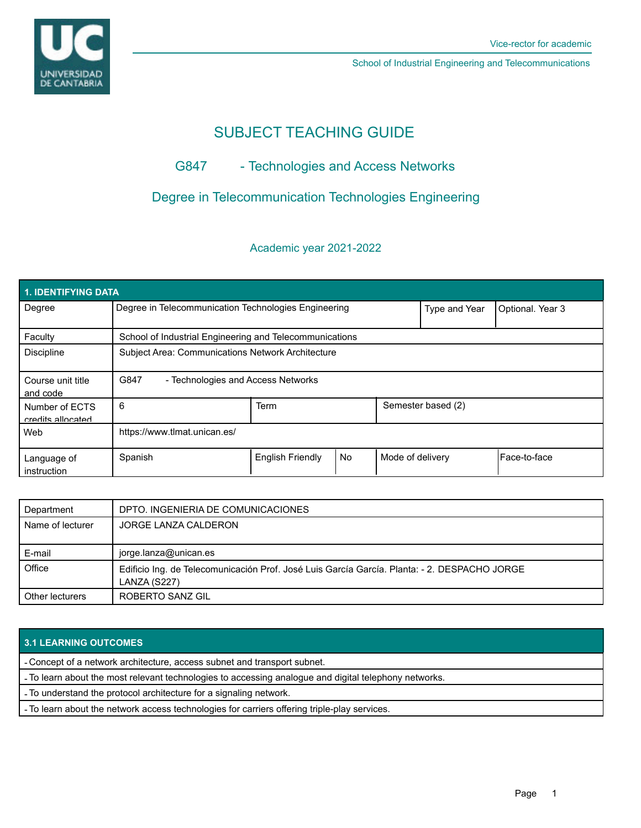School of Industrial Engineering and Telecommunications

# SUBJECT TEACHING GUIDE

# G847 - Technologies and Access Networks

## Degree in Telecommunication Technologies Engineering

### Academic year 2021-2022

| <b>1. IDENTIFYING DATA</b>          |                                                         |                         |    |                    |                  |              |  |  |  |
|-------------------------------------|---------------------------------------------------------|-------------------------|----|--------------------|------------------|--------------|--|--|--|
| Degree                              | Degree in Telecommunication Technologies Engineering    |                         |    | Type and Year      | Optional. Year 3 |              |  |  |  |
| Faculty                             | School of Industrial Engineering and Telecommunications |                         |    |                    |                  |              |  |  |  |
| <b>Discipline</b>                   | Subject Area: Communications Network Architecture       |                         |    |                    |                  |              |  |  |  |
| Course unit title<br>and code       | G847<br>- Technologies and Access Networks              |                         |    |                    |                  |              |  |  |  |
| Number of ECTS<br>credits allocated | 6                                                       | <b>Term</b>             |    | Semester based (2) |                  |              |  |  |  |
| Web                                 | https://www.tlmat.unican.es/                            |                         |    |                    |                  |              |  |  |  |
| Language of<br>instruction          | Spanish                                                 | <b>English Friendly</b> | No | Mode of delivery   |                  | Face-to-face |  |  |  |

| Department       | DPTO. INGENIERIA DE COMUNICACIONES                                                                           |
|------------------|--------------------------------------------------------------------------------------------------------------|
| Name of lecturer | JORGE LANZA CALDERON                                                                                         |
| E-mail           | jorge.lanza@unican.es                                                                                        |
| Office           | Edificio Ing. de Telecomunicación Prof. José Luis García García. Planta: - 2. DESPACHO JORGE<br>LANZA (S227) |
| Other lecturers  | ROBERTO SANZ GIL                                                                                             |

### **3.1 LEARNING OUTCOMES**

- Concept of a network architecture, access subnet and transport subnet.

- To learn about the most relevant technologies to accessing analogue and digital telephony networks.

- To understand the protocol architecture for a signaling network.

- To learn about the network access technologies for carriers offering triple-play services.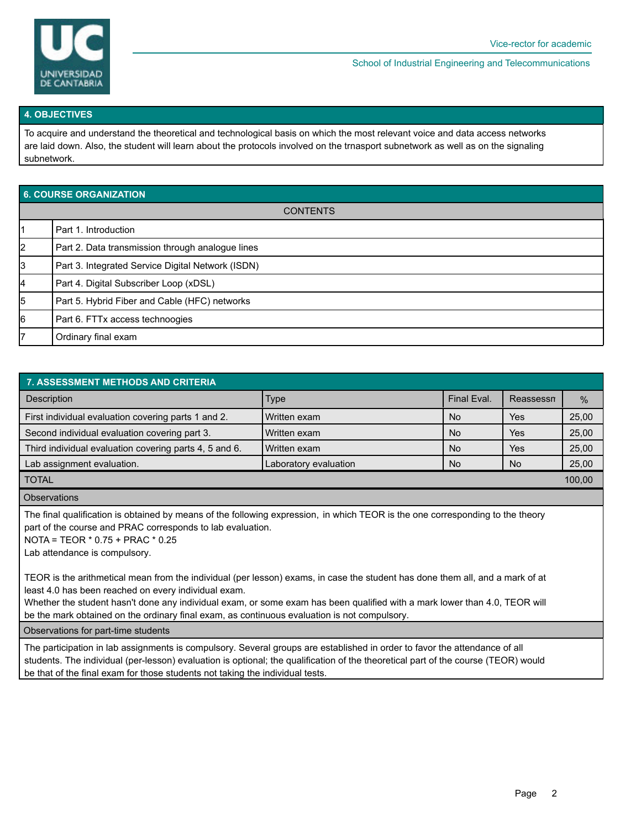

School of Industrial Engineering and Telecommunications

#### **4. OBJECTIVES**

To acquire and understand the theoretical and technological basis on which the most relevant voice and data access networks are laid down. Also, the student will learn about the protocols involved on the trnasport subnetwork as well as on the signaling subnetwork.

| 6. COURSE ORGANIZATION |                                                   |  |  |  |  |
|------------------------|---------------------------------------------------|--|--|--|--|
| <b>CONTENTS</b>        |                                                   |  |  |  |  |
| l1                     | Part 1. Introduction                              |  |  |  |  |
| 2                      | Part 2. Data transmission through analogue lines  |  |  |  |  |
| 3                      | Part 3. Integrated Service Digital Network (ISDN) |  |  |  |  |
| 14                     | Part 4. Digital Subscriber Loop (xDSL)            |  |  |  |  |
| 5                      | Part 5. Hybrid Fiber and Cable (HFC) networks     |  |  |  |  |
| 16                     | Part 6. FTTx access technoogies                   |  |  |  |  |
| 17                     | Ordinary final exam                               |  |  |  |  |

| <b>7. ASSESSMENT METHODS AND CRITERIA</b>                                                                                                                                      |                       |             |           |       |  |  |  |  |
|--------------------------------------------------------------------------------------------------------------------------------------------------------------------------------|-----------------------|-------------|-----------|-------|--|--|--|--|
| <b>Description</b>                                                                                                                                                             | <b>Type</b>           | Final Eval. | Reassessn | $\%$  |  |  |  |  |
| First individual evaluation covering parts 1 and 2.                                                                                                                            | l Written exam        | <b>No</b>   | Yes       | 25,00 |  |  |  |  |
| Second individual evaluation covering part 3.                                                                                                                                  | Written exam          | <b>No</b>   | Yes       | 25,00 |  |  |  |  |
| Third individual evaluation covering parts 4, 5 and 6.                                                                                                                         | Written exam          | <b>No</b>   | Yes       | 25,00 |  |  |  |  |
| Lab assignment evaluation.                                                                                                                                                     | Laboratory evaluation | <b>No</b>   | No.       | 25,00 |  |  |  |  |
| <b>TOTAL</b>                                                                                                                                                                   |                       |             |           |       |  |  |  |  |
| $\bigcap_{n=1}^{\infty}$ $\bigcap_{n=1}^{\infty}$ $\bigcap_{n=1}^{\infty}$ $\bigcap_{n=1}^{\infty}$ $\bigcap_{n=1}^{\infty}$ $\bigcap_{n=1}^{\infty}$ $\bigcap_{n=1}^{\infty}$ |                       |             |           |       |  |  |  |  |

**Observations** 

The final qualification is obtained by means of the following expression, in which TEOR is the one corresponding to the theory part of the course and PRAC corresponds to lab evaluation.

NOTA = TEOR \* 0.75 + PRAC \* 0.25

Lab attendance is compulsory.

TEOR is the arithmetical mean from the individual (per lesson) exams, in case the student has done them all, and a mark of at least 4.0 has been reached on every individual exam.

Whether the student hasn't done any individual exam, or some exam has been qualified with a mark lower than 4.0, TEOR will be the mark obtained on the ordinary final exam, as continuous evaluation is not compulsory.

Observations for part-time students

The participation in lab assignments is compulsory. Several groups are established in order to favor the attendance of all students. The individual (per-lesson) evaluation is optional; the qualification of the theoretical part of the course (TEOR) would be that of the final exam for those students not taking the individual tests.